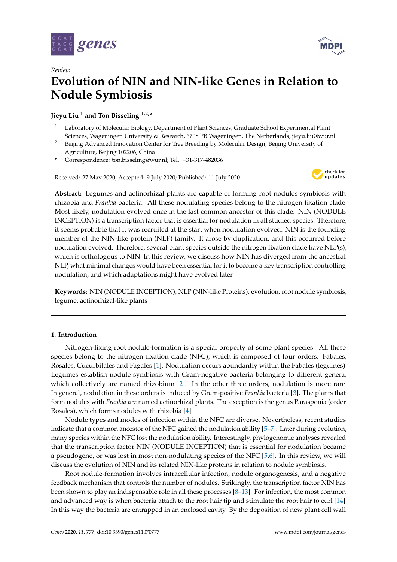

*Review*



# **Evolution of NIN and NIN-like Genes in Relation to Nodule Symbiosis**

**Jieyu Liu <sup>1</sup> and Ton Bisseling 1,2,\***

- <sup>1</sup> Laboratory of Molecular Biology, Department of Plant Sciences, Graduate School Experimental Plant Sciences, Wageningen University & Research, 6708 PB Wageningen, The Netherlands; jieyu.liu@wur.nl
- <sup>2</sup> Beijing Advanced Innovation Center for Tree Breeding by Molecular Design, Beijing University of Agriculture, Beijing 102206, China
- **\*** Correspondence: ton.bisseling@wur.nl; Tel.: +31-317-482036

Received: 27 May 2020; Accepted: 9 July 2020; Published: 11 July 2020



**Abstract:** Legumes and actinorhizal plants are capable of forming root nodules symbiosis with rhizobia and *Frankia* bacteria. All these nodulating species belong to the nitrogen fixation clade. Most likely, nodulation evolved once in the last common ancestor of this clade. NIN (NODULE INCEPTION) is a transcription factor that is essential for nodulation in all studied species. Therefore, it seems probable that it was recruited at the start when nodulation evolved. NIN is the founding member of the NIN-like protein (NLP) family. It arose by duplication, and this occurred before nodulation evolved. Therefore, several plant species outside the nitrogen fixation clade have NLP(s), which is orthologous to NIN. In this review, we discuss how NIN has diverged from the ancestral NLP, what minimal changes would have been essential for it to become a key transcription controlling nodulation, and which adaptations might have evolved later.

**Keywords:** NIN (NODULE INCEPTION); NLP (NIN-like Proteins); evolution; root nodule symbiosis; legume; actinorhizal-like plants

# **1. Introduction**

Nitrogen-fixing root nodule-formation is a special property of some plant species. All these species belong to the nitrogen fixation clade (NFC), which is composed of four orders: Fabales, Rosales, Cucurbitales and Fagales [\[1\]](#page-10-0). Nodulation occurs abundantly within the Fabales (legumes). Legumes establish nodule symbiosis with Gram-negative bacteria belonging to different genera, which collectively are named rhizobium [\[2\]](#page-10-1). In the other three orders, nodulation is more rare. In general, nodulation in these orders is induced by Gram-positive *Frankia* bacteria [\[3\]](#page-10-2). The plants that form nodules with *Frankia* are named actinorhizal plants. The exception is the genus Parasponia (order Rosales), which forms nodules with rhizobia [\[4\]](#page-10-3).

Nodule types and modes of infection within the NFC are diverse. Nevertheless, recent studies indicate that a common ancestor of the NFC gained the nodulation ability [\[5–](#page-10-4)[7\]](#page-10-5). Later during evolution, many species within the NFC lost the nodulation ability. Interestingly, phylogenomic analyses revealed that the transcription factor NIN (NODULE INCEPTION) that is essential for nodulation became a pseudogene, or was lost in most non-nodulating species of the NFC [\[5,](#page-10-4)[6\]](#page-10-6). In this review, we will discuss the evolution of NIN and its related NIN-like proteins in relation to nodule symbiosis.

Root nodule-formation involves intracellular infection, nodule organogenesis, and a negative feedback mechanism that controls the number of nodules. Strikingly, the transcription factor NIN has been shown to play an indispensable role in all these processes [\[8](#page-10-7)[–13\]](#page-10-8). For infection, the most common and advanced way is when bacteria attach to the root hair tip and stimulate the root hair to curl [\[14\]](#page-10-9). In this way the bacteria are entrapped in an enclosed cavity. By the deposition of new plant cell wall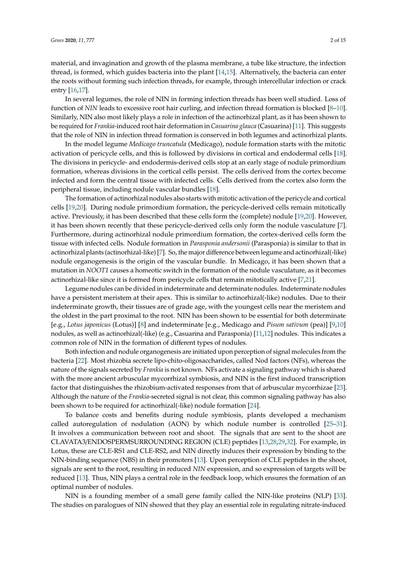material, and invagination and growth of the plasma membrane, a tube like structure, the infection thread, is formed, which guides bacteria into the plant [\[14](#page-10-9)[,15\]](#page-10-10). Alternatively, the bacteria can enter the roots without forming such infection threads, for example, through intercellular infection or crack entry [\[16,](#page-10-11)[17\]](#page-10-12).

In several legumes, the role of NIN in forming infection threads has been well studied. Loss of function of *NIN* leads to excessive root hair curling, and infection thread formation is blocked [\[8–](#page-10-7)[10\]](#page-10-13). Similarly, NIN also most likely plays a role in infection of the actinorhizal plant, as it has been shown to be required for *Frankia*-induced root hair deformation in *Casuarina glauca* (Casuarina) [\[11\]](#page-10-14). This suggests that the role of NIN in infection thread formation is conserved in both legumes and actinorhizal plants.

In the model legume *Medicago truncatula* (Medicago), nodule formation starts with the mitotic activation of pericycle cells, and this is followed by divisions in cortical and endodermal cells [\[18\]](#page-10-15). The divisions in pericycle- and endodermis-derived cells stop at an early stage of nodule primordium formation, whereas divisions in the cortical cells persist. The cells derived from the cortex become infected and form the central tissue with infected cells. Cells derived from the cortex also form the peripheral tissue, including nodule vascular bundles [\[18\]](#page-10-15).

The formation of actinorhizal nodules also starts with mitotic activation of the pericycle and cortical cells [\[19](#page-10-16)[,20\]](#page-11-0). During nodule primordium formation, the pericycle-derived cells remain mitotically active. Previously, it has been described that these cells form the (complete) nodule [\[19,](#page-10-16)[20\]](#page-11-0). However, it has been shown recently that these pericycle-derived cells only form the nodule vasculature [\[7\]](#page-10-5). Furthermore, during actinorhizal nodule primordium formation, the cortex-derived cells form the tissue with infected cells. Nodule formation in *Parasponia andersonii* (Parasponia) is similar to that in actinorhizal plants (actinorhizal-like) [\[7\]](#page-10-5). So, the major difference between legume and actinorhizal(-like) nodule organogenesis is the origin of the vascular bundle. In Medicago, it has been shown that a mutation in *NOOT1* causes a homeotic switch in the formation of the nodule vasculature, as it becomes actinorhizal-like since it is formed from pericycle cells that remain mitotically active [\[7,](#page-10-5)[21\]](#page-11-1).

Legume nodules can be divided in indeterminate and determinate nodules. Indeterminate nodules have a persistent meristem at their apex. This is similar to actinorhizal(-like) nodules. Due to their indeterminate growth, their tissues are of grade age, with the youngest cells near the meristem and the oldest in the part proximal to the root. NIN has been shown to be essential for both determinate [e.g., *Lotus japonicus* (Lotus)] [\[8\]](#page-10-7) and indeterminate [e.g., Medicago and *Pisum sativum* (pea)] [\[9](#page-10-17)[,10\]](#page-10-13) nodules, as well as actinorhizal(-like) (e.g., Casuarina and Parasponia) [\[11,](#page-10-14)[12\]](#page-10-18) nodules. This indicates a common role of NIN in the formation of different types of nodules.

Both infection and nodule organogenesis are initiated upon perception of signal molecules from the bacteria [\[22\]](#page-11-2). Most rhizobia secrete lipo-chito-oligosaccharides, called Nod factors (NFs), whereas the nature of the signals secreted by *Frankia* is not known. NFs activate a signaling pathway which is shared with the more ancient arbuscular mycorrhizal symbiosis, and NIN is the first induced transcription factor that distinguishes the rhizobium-activated responses from that of arbuscular mycorrhizae [\[23\]](#page-11-3). Although the nature of the *Frankia*-secreted signal is not clear, this common signaling pathway has also been shown to be required for actinorhizal(-like) nodule formation [\[24\]](#page-11-4).

To balance costs and benefits during nodule symbiosis, plants developed a mechanism called autoregulation of nodulation (AON) by which nodule number is controlled [\[25–](#page-11-5)[31\]](#page-11-6). It involves a communication between root and shoot. The signals that are sent to the shoot are CLAVATA3/ENDOSPERMSURROUNDING REGION (CLE) peptides [\[13](#page-10-8)[,28,](#page-11-7)[29](#page-11-8)[,32\]](#page-11-9). For example, in Lotus, these are CLE-RS1 and CLE-RS2, and NIN directly induces their expression by binding to the NIN-binding sequence (NBS) in their promoters [\[13\]](#page-10-8). Upon perception of CLE peptides in the shoot, signals are sent to the root, resulting in reduced *NIN* expression, and so expression of targets will be reduced [\[13\]](#page-10-8). Thus, NIN plays a central role in the feedback loop, which ensures the formation of an optimal number of nodules.

NIN is a founding member of a small gene family called the NIN-like proteins (NLP) [\[33\]](#page-11-10). The studies on paralogues of NIN showed that they play an essential role in regulating nitrate-induced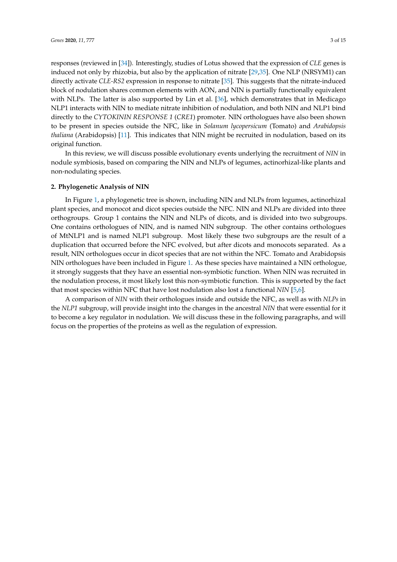responses (reviewed in [\[34\]](#page-11-11)). Interestingly, studies of Lotus showed that the expression of *CLE* genes is induced not only by rhizobia, but also by the application of nitrate [\[29,](#page-11-8)[35\]](#page-11-12). One NLP (NRSYM1) can directly activate *CLE-RS2* expression in response to nitrate [\[35\]](#page-11-12). This suggests that the nitrate-induced block of nodulation shares common elements with AON, and NIN is partially functionally equivalent with NLPs. The latter is also supported by Lin et al. [\[36\]](#page-11-13), which demonstrates that in Medicago NLP1 interacts with NIN to mediate nitrate inhibition of nodulation, and both NIN and NLP1 bind directly to the *CYTOKININ RESPONSE 1* (*CRE1*) promoter. NIN orthologues have also been shown to be present in species outside the NFC, like in *Solanum lycopersicum* (Tomato) and *Arabidopsis thaliana* (Arabidopsis) [\[11\]](#page-10-14). This indicates that NIN might be recruited in nodulation, based on its original function.

In this review, we will discuss possible evolutionary events underlying the recruitment of *NIN* in nodule symbiosis, based on comparing the NIN and NLPs of legumes, actinorhizal-like plants and non-nodulating species.

## **2. Phylogenetic Analysis of NIN**

In Figure [1,](#page-3-0) a phylogenetic tree is shown, including NIN and NLPs from legumes, actinorhizal plant species, and monocot and dicot species outside the NFC. NIN and NLPs are divided into three orthogroups. Group 1 contains the NIN and NLPs of dicots, and is divided into two subgroups. One contains orthologues of NIN, and is named NIN subgroup. The other contains orthologues of MtNLP1 and is named NLP1 subgroup. Most likely these two subgroups are the result of a duplication that occurred before the NFC evolved, but after dicots and monocots separated. As a result, NIN orthologues occur in dicot species that are not within the NFC. Tomato and Arabidopsis NIN orthologues have been included in Figure [1.](#page-3-0) As these species have maintained a NIN orthologue, it strongly suggests that they have an essential non-symbiotic function. When NIN was recruited in the nodulation process, it most likely lost this non-symbiotic function. This is supported by the fact that most species within NFC that have lost nodulation also lost a functional *NIN* [\[5](#page-10-4)[,6\]](#page-10-6).

A comparison of *NIN* with their orthologues inside and outside the NFC, as well as with *NLPs* in the *NLP1* subgroup, will provide insight into the changes in the ancestral *NIN* that were essential for it to become a key regulator in nodulation. We will discuss these in the following paragraphs, and will focus on the properties of the proteins as well as the regulation of expression.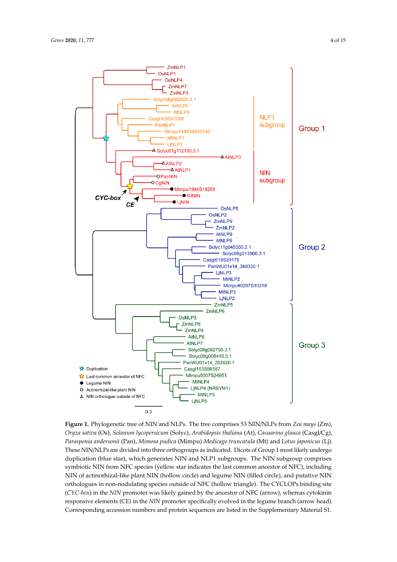<span id="page-3-0"></span>

- Sure at 1-1, registers are explicit that there are the top complete to the space of the summan, (2017),<br>Oryza sativa (Os), Solanum lycopersicum (Solyc), Arabidopsis thaliana (At), Casuarina glauca (Casgl/Cg), Parasponia andersonii (Pan), Mimosa pudica (Mimpu) Medicago truncatula (Mt) and Lotus japonicus (Lj). These NIN/NLPs are divided into three orthogroups as indicated. Dicots of Group 1 most likely undergo duplication (blue star), which generates NIN and NLP1 subgroups. The NIN subgroup comprises  $\frac{1}{2}$  symbiotic NIN from NFC species (yellow star indicates the last common ancestor of NFC), including extending networks and neutron of the last common ancestor of neutron of  $\frac{1}{2}$ , and  $\frac{1}{2}$ , and  $\frac{1}{2}$ , and  $\frac{1}{2}$  NIN (filled circle), and putative NIN orthologues in non-nodulating species outside of NFC (hollow triangle). The CYCLOPs binding site (*CYC-box*) in the *NIN* promoter was likely gained by the ancestor of NFC (arrow), whereas cytokinin responsive elements (CE) in the *NIN* promoter specifically evolved in the legume branch (arrow head). cytoking responsive energy in the *NIN* protein convenience are listed in the *Supplementary Material* S1 Corresponding accession numbers and protein sequences are listed in the Supplementary Material S1.<br>. **Figure 1.** Phylogenetic tree of NIN and NLPs. The tree comprises 53 NIN/NLPs from *Zea mays* (Zm),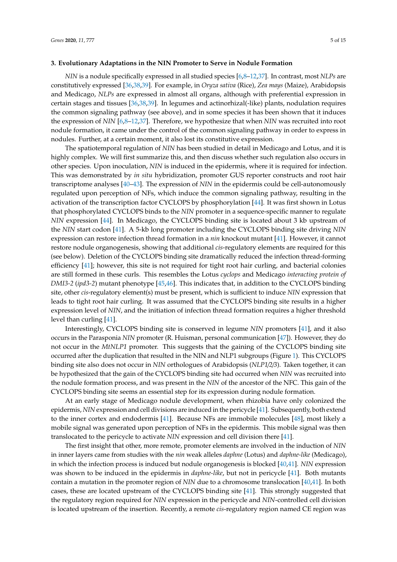### **3. Evolutionary Adaptations in the NIN Promoter to Serve in Nodule Formation**

*NIN* is a nodule specifically expressed in all studied species [\[6,](#page-10-6)[8–](#page-10-7)[12](#page-10-18)[,37\]](#page-11-14). In contrast, most *NLPs* are constitutively expressed [\[36](#page-11-13)[,38](#page-11-15)[,39\]](#page-11-16). For example, in *Oryza sativa* (Rice), *Zea mays* (Maize), Arabidopsis and Medicago, *NLPs* are expressed in almost all organs, although with preferential expression in certain stages and tissues [\[36,](#page-11-13)[38,](#page-11-15)[39\]](#page-11-16). In legumes and actinorhizal(-like) plants, nodulation requires the common signaling pathway (see above), and in some species it has been shown that it induces the expression of *NIN* [\[6](#page-10-6)[,8–](#page-10-7)[12](#page-10-18)[,37\]](#page-11-14). Therefore, we hypothesize that when *NIN* was recruited into root nodule formation, it came under the control of the common signaling pathway in order to express in nodules. Further, at a certain moment, it also lost its constitutive expression.

The spatiotemporal regulation of *NIN* has been studied in detail in Medicago and Lotus, and it is highly complex. We will first summarize this, and then discuss whether such regulation also occurs in other species. Upon inoculation, *NIN* is induced in the epidermis, where it is required for infection. This was demonstrated by *in situ* hybridization, promoter GUS reporter constructs and root hair transcriptome analyses [\[40–](#page-12-0)[43\]](#page-12-1). The expression of *NIN* in the epidermis could be cell-autonomously regulated upon perception of NFs, which induce the common signaling pathway, resulting in the activation of the transcription factor CYCLOPS by phosphorylation [\[44\]](#page-12-2). It was first shown in Lotus that phosphorylated CYCLOPS binds to the *NIN* promoter in a sequence-specific manner to regulate *NIN* expression [\[44\]](#page-12-2). In Medicago, the CYCLOPS binding site is located about 3 kb upstream of the *NIN* start codon [\[41\]](#page-12-3). A 5-kb long promoter including the CYCLOPS binding site driving *NIN* expression can restore infection thread formation in a *nin* knockout mutant [\[41\]](#page-12-3). However, it cannot restore nodule organogenesis, showing that additional *cis*-regulatory elements are required for this (see below). Deletion of the CYCLOPS binding site dramatically reduced the infection thread-forming efficiency [\[41\]](#page-12-3); however, this site is not required for tight root hair curling, and bacterial colonies are still formed in these curls. This resembles the Lotus *cyclops* and Medicago *interacting protein of DMI3-2* (*ipd3-2*) mutant phenotype [\[45,](#page-12-4)[46\]](#page-12-5). This indicates that, in addition to the CYCLOPS binding site, other *cis*-regulatory element(s) must be present, which is sufficient to induce *NIN* expression that leads to tight root hair curling. It was assumed that the CYCLOPS binding site results in a higher expression level of *NIN*, and the initiation of infection thread formation requires a higher threshold level than curling [\[41\]](#page-12-3).

Interestingly, CYCLOPS binding site is conserved in legume *NIN* promoters [\[41\]](#page-12-3), and it also occurs in the Parasponia *NIN* promoter (R. Huisman, personal communication [\[47\]](#page-12-6)). However, they do not occur in the *MtNLP1* promoter. This suggests that the gaining of the CYCLOPS binding site occurred after the duplication that resulted in the NIN and NLP1 subgroups (Figure [1\)](#page-3-0). This CYCLOPS binding site also does not occur in *NIN* orthologues of Arabidopsis (*NLP1*/*2*/*3*). Taken together, it can be hypothesized that the gain of the CYCLOPS binding site had occurred when *NIN* was recruited into the nodule formation process, and was present in the *NIN* of the ancestor of the NFC. This gain of the CYCLOPS binding site seems an essential step for its expression during nodule formation.

At an early stage of Medicago nodule development, when rhizobia have only colonized the epidermis, *NIN* expression and cell divisions are induced in the pericycle [\[41\]](#page-12-3). Subsequently, both extend to the inner cortex and endodermis [\[41\]](#page-12-3). Because NFs are immobile molecules [\[48\]](#page-12-7), most likely a mobile signal was generated upon perception of NFs in the epidermis. This mobile signal was then translocated to the pericycle to activate *NIN* expression and cell division there [\[41\]](#page-12-3).

The first insight that other, more remote, promoter elements are involved in the induction of *NIN* in inner layers came from studies with the *nin* weak alleles *daphne* (Lotus) and *daphne-like* (Medicago), in which the infection process is induced but nodule organogenesis is blocked [\[40,](#page-12-0)[41\]](#page-12-3). *NIN* expression was shown to be induced in the epidermis in *daphne-like*, but not in pericycle [\[41\]](#page-12-3). Both mutants contain a mutation in the promoter region of *NIN* due to a chromosome translocation [\[40,](#page-12-0)[41\]](#page-12-3). In both cases, these are located upstream of the CYCLOPS binding site [\[41\]](#page-12-3). This strongly suggested that the regulatory region required for *NIN* expression in the pericycle and *NIN*-controlled cell division is located upstream of the insertion. Recently, a remote *cis*-regulatory region named CE region was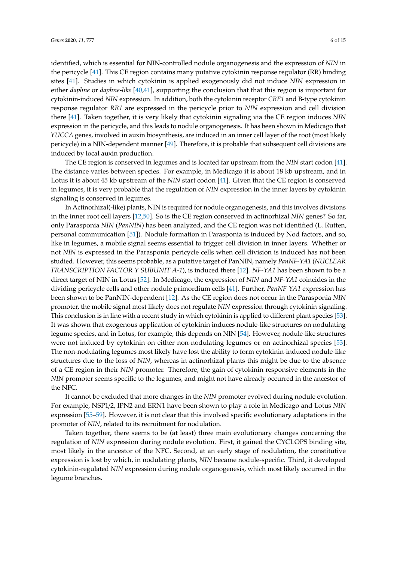identified, which is essential for NIN-controlled nodule organogenesis and the expression of *NIN* in the pericycle [\[41\]](#page-12-3). This CE region contains many putative cytokinin response regulator (RR) binding sites [\[41\]](#page-12-3). Studies in which cytokinin is applied exogenously did not induce *NIN* expression in either *daphne* or *daphne-like* [\[40,](#page-12-0)[41\]](#page-12-3), supporting the conclusion that that this region is important for cytokinin-induced *NIN* expression. In addition, both the cytokinin receptor *CRE1* and B-type cytokinin response regulator *RR1* are expressed in the pericycle prior to *NIN* expression and cell division there [\[41\]](#page-12-3). Taken together, it is very likely that cytokinin signaling via the CE region induces *NIN* expression in the pericycle, and this leads to nodule organogenesis. It has been shown in Medicago that *YUCCA* genes, involved in auxin biosynthesis, are induced in an inner cell layer of the root (most likely pericycle) in a NIN-dependent manner [\[49\]](#page-12-8). Therefore, it is probable that subsequent cell divisions are induced by local auxin production.

The CE region is conserved in legumes and is located far upstream from the *NIN* start codon [\[41\]](#page-12-3). The distance varies between species. For example, in Medicago it is about 18 kb upstream, and in Lotus it is about 45 kb upstream of the *NIN* start codon [\[41\]](#page-12-3). Given that the CE region is conserved in legumes, it is very probable that the regulation of *NIN* expression in the inner layers by cytokinin signaling is conserved in legumes.

In Actinorhizal(-like) plants, NIN is required for nodule organogenesis, and this involves divisions in the inner root cell layers [\[12,](#page-10-18)[50\]](#page-12-9). So is the CE region conserved in actinorhizal *NIN* genes? So far, only Parasponia *NIN* (*PanNIN*) has been analyzed, and the CE region was not identified (L. Rutten, personal communication [\[51\]](#page-12-10)). Nodule formation in Parasponia is induced by Nod factors, and so, like in legumes, a mobile signal seems essential to trigger cell division in inner layers. Whether or not *NIN* is expressed in the Parasponia pericycle cells when cell division is induced has not been studied. However, this seems probable, as a putative target of PanNIN, namely *PanNF-YA1* (*NUCLEAR TRANSCRIPTION FACTOR Y SUBUNIT A-1*), is induced there [\[12\]](#page-10-18). *NF-YA1* has been shown to be a direct target of NIN in Lotus [\[52\]](#page-12-11). In Medicago, the expression of *NIN* and *NF*-*YA1* coincides in the dividing pericycle cells and other nodule primordium cells [\[41\]](#page-12-3). Further, *PanNF-YA1* expression has been shown to be PanNIN-dependent [\[12\]](#page-10-18). As the CE region does not occur in the Parasponia *NIN* promoter, the mobile signal most likely does not regulate *NIN* expression through cytokinin signaling. This conclusion is in line with a recent study in which cytokinin is applied to different plant species [\[53\]](#page-12-12). It was shown that exogenous application of cytokinin induces nodule-like structures on nodulating legume species, and in Lotus, for example, this depends on NIN [\[54\]](#page-12-13). However, nodule-like structures were not induced by cytokinin on either non-nodulating legumes or on actinorhizal species [\[53\]](#page-12-12). The non-nodulating legumes most likely have lost the ability to form cytokinin-induced nodule-like structures due to the loss of *NIN*, whereas in actinorhizal plants this might be due to the absence of a CE region in their *NIN* promoter. Therefore, the gain of cytokinin responsive elements in the *NIN* promoter seems specific to the legumes, and might not have already occurred in the ancestor of the NFC.

It cannot be excluded that more changes in the *NIN* promoter evolved during nodule evolution. For example, NSP1/2, IPN2 and ERN1 have been shown to play a role in Medicago and Lotus *NIN* expression [\[55–](#page-12-14)[59\]](#page-13-0). However, it is not clear that this involved specific evolutionary adaptations in the promoter of *NIN*, related to its recruitment for nodulation.

Taken together, there seems to be (at least) three main evolutionary changes concerning the regulation of *NIN* expression during nodule evolution. First, it gained the CYCLOPS binding site, most likely in the ancestor of the NFC. Second, at an early stage of nodulation, the constitutive expression is lost by which, in nodulating plants, *NIN* became nodule-specific. Third, it developed cytokinin-regulated *NIN* expression during nodule organogenesis, which most likely occurred in the legume branches.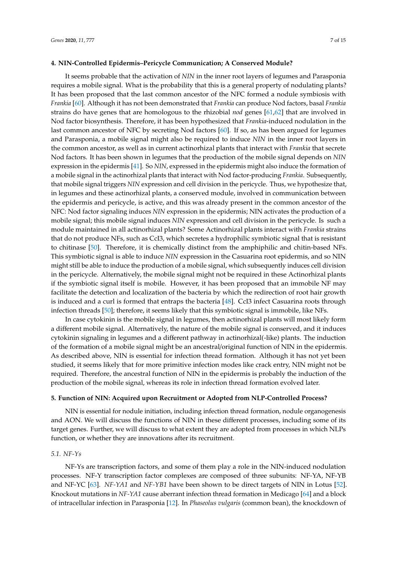### **4. NIN-Controlled Epidermis–Pericycle Communication; A Conserved Module?**

It seems probable that the activation of *NIN* in the inner root layers of legumes and Parasponia requires a mobile signal. What is the probability that this is a general property of nodulating plants? It has been proposed that the last common ancestor of the NFC formed a nodule symbiosis with *Frankia* [\[60\]](#page-13-1). Although it has not been demonstrated that *Frankia* can produce Nod factors, basal *Frankia* strains do have genes that are homologous to the rhizobial *nod* genes [\[61](#page-13-2)[,62\]](#page-13-3) that are involved in Nod factor biosynthesis. Therefore, it has been hypothesized that *Frankia*-induced nodulation in the last common ancestor of NFC by secreting Nod factors [\[60\]](#page-13-1). If so, as has been argued for legumes and Parasponia, a mobile signal might also be required to induce *NIN* in the inner root layers in the common ancestor, as well as in current actinorhizal plants that interact with *Frankia* that secrete Nod factors. It has been shown in legumes that the production of the mobile signal depends on *NIN* expression in the epidermis [\[41\]](#page-12-3). So *NIN*, expressed in the epidermis might also induce the formation of a mobile signal in the actinorhizal plants that interact with Nod factor-producing *Frankia*. Subsequently, that mobile signal triggers *NIN* expression and cell division in the pericycle. Thus, we hypothesize that, in legumes and these actinorhizal plants, a conserved module, involved in communication between the epidermis and pericycle, is active, and this was already present in the common ancestor of the NFC: Nod factor signaling induces *NIN* expression in the epidermis; NIN activates the production of a mobile signal; this mobile signal induces *NIN* expression and cell division in the pericycle. Is such a module maintained in all actinorhizal plants? Some Actinorhizal plants interact with *Frankia* strains that do not produce NFs, such as CcI3, which secretes a hydrophilic symbiotic signal that is resistant to chitinase [\[50\]](#page-12-9). Therefore, it is chemically distinct from the amphiphilic and chitin-based NFs. This symbiotic signal is able to induce *NIN* expression in the Casuarina root epidermis, and so NIN might still be able to induce the production of a mobile signal, which subsequently induces cell division in the pericycle. Alternatively, the mobile signal might not be required in these Actinorhizal plants if the symbiotic signal itself is mobile. However, it has been proposed that an immobile NF may facilitate the detection and localization of the bacteria by which the redirection of root hair growth is induced and a curl is formed that entraps the bacteria [\[48\]](#page-12-7). CcI3 infect Casuarina roots through infection threads [\[50\]](#page-12-9); therefore, it seems likely that this symbiotic signal is immobile, like NFs.

In case cytokinin is the mobile signal in legumes, then actinorhizal plants will most likely form a different mobile signal. Alternatively, the nature of the mobile signal is conserved, and it induces cytokinin signaling in legumes and a different pathway in actinorhizal(-like) plants. The induction of the formation of a mobile signal might be an ancestral/original function of NIN in the epidermis. As described above, NIN is essential for infection thread formation. Although it has not yet been studied, it seems likely that for more primitive infection modes like crack entry, NIN might not be required. Therefore, the ancestral function of NIN in the epidermis is probably the induction of the production of the mobile signal, whereas its role in infection thread formation evolved later.

#### **5. Function of NIN: Acquired upon Recruitment or Adopted from NLP-Controlled Process?**

NIN is essential for nodule initiation, including infection thread formation, nodule organogenesis and AON. We will discuss the functions of NIN in these different processes, including some of its target genes. Further, we will discuss to what extent they are adopted from processes in which NLPs function, or whether they are innovations after its recruitment.

# *5.1. NF-Ys*

NF-Ys are transcription factors, and some of them play a role in the NIN-induced nodulation processes. NF-Y transcription factor complexes are composed of three subunits: NF-YA, NF-YB and NF-YC [\[63\]](#page-13-4). *NF-YA1* and *NF-YB1* have been shown to be direct targets of NIN in Lotus [\[52\]](#page-12-11). Knockout mutations in *NF-YA1* cause aberrant infection thread formation in Medicago [\[64\]](#page-13-5) and a block of intracellular infection in Parasponia [\[12\]](#page-10-18). In *Phaseolus vulgaris* (common bean), the knockdown of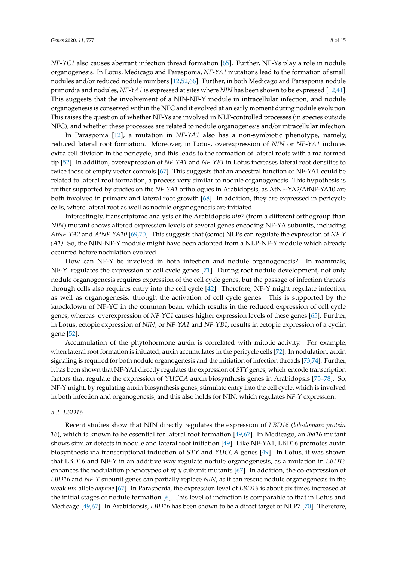*NF-YC1* also causes aberrant infection thread formation [\[65\]](#page-13-6). Further, NF-Ys play a role in nodule organogenesis. In Lotus, Medicago and Parasponia, *NF-YA1* mutations lead to the formation of small nodules and/or reduced nodule numbers [\[12,](#page-10-18)[52,](#page-12-11)[66\]](#page-13-7). Further, in both Medicago and Parasponia nodule primordia and nodules, *NF-YA1* is expressed at sites where *NIN* has been shown to be expressed [\[12](#page-10-18)[,41\]](#page-12-3). This suggests that the involvement of a NIN-NF-Y module in intracellular infection, and nodule organogenesis is conserved within the NFC and it evolved at an early moment during nodule evolution. This raises the question of whether NF-Ys are involved in NLP-controlled processes (in species outside NFC), and whether these processes are related to nodule organogenesis and/or intracellular infection.

In Parasponia [\[12\]](#page-10-18), a mutation in *NF-YA1* also has a non-symbiotic phenotype, namely, reduced lateral root formation. Moreover, in Lotus, overexpression of *NIN* or *NF-YA1* induces extra cell division in the pericycle, and this leads to the formation of lateral roots with a malformed tip [\[52\]](#page-12-11). In addition, overexpression of *NF-YA1* and *NF-YB1* in Lotus increases lateral root densities to twice those of empty vector controls [\[67\]](#page-13-8). This suggests that an ancestral function of NF-YA1 could be related to lateral root formation, a process very similar to nodule organogenesis. This hypothesis is further supported by studies on the *NF-YA1* orthologues in Arabidopsis, as AtNF-YA2/AtNF-YA10 are both involved in primary and lateral root growth [\[68\]](#page-13-9). In addition, they are expressed in pericycle cells, where lateral root as well as nodule organogenesis are initiated.

Interestingly, transcriptome analysis of the Arabidopsis *nlp7* (from a different orthogroup than *NIN*) mutant shows altered expression levels of several genes encoding NF-YA subunits, including *AtNF-YA2* and *AtNF-YA10* [\[69,](#page-13-10)[70\]](#page-13-11). This suggests that (some) NLPs can regulate the expression of *NF-Y (A1)*. So, the NIN-NF-Y module might have been adopted from a NLP-NF-Y module which already occurred before nodulation evolved.

How can NF-Y be involved in both infection and nodule organogenesis? In mammals, NF-Y regulates the expression of cell cycle genes [\[71\]](#page-13-12). During root nodule development, not only nodule organogenesis requires expression of the cell cycle genes, but the passage of infection threads through cells also requires entry into the cell cycle [\[42\]](#page-12-15). Therefore, NF-Y might regulate infection, as well as organogenesis, through the activation of cell cycle genes. This is supported by the knockdown of NF-YC in the common bean, which results in the reduced expression of cell cycle genes, whereas overexpression of *NF-YC1* causes higher expression levels of these genes [\[65\]](#page-13-6). Further, in Lotus, ectopic expression of *NIN*, or *NF-YA1* and *NF-YB1*, results in ectopic expression of a cyclin gene [\[52\]](#page-12-11).

Accumulation of the phytohormone auxin is correlated with mitotic activity. For example, when lateral root formation is initiated, auxin accumulates in the pericycle cells [\[72\]](#page-13-13). In nodulation, auxin signaling is required for both nodule organogenesis and the initiation of infection threads [\[73](#page-13-14)[,74\]](#page-13-15). Further, it has been shown that NF-YA1 directly regulates the expression of *STY* genes, which encode transcription factors that regulate the expression of *YUCCA* auxin biosynthesis genes in Arabidopsis [\[75](#page-14-0)[–78\]](#page-14-1). So, NF-Y might, by regulating auxin biosynthesis genes, stimulate entry into the cell cycle, which is involved in both infection and organogenesis, and this also holds for NIN, which regulates *NF-Y* expression.

# *5.2. LBD16*

Recent studies show that NIN directly regulates the expression of *LBD16* (*lob-domain protein 16*), which is known to be essential for lateral root formation [\[49,](#page-12-8)[67\]](#page-13-8). In Medicago, an *lbd16* mutant shows similar defects in nodule and lateral root initiation [\[49\]](#page-12-8). Like NF-YA1, LBD16 promotes auxin biosynthesis via transcriptional induction of *STY* and *YUCCA* genes [\[49\]](#page-12-8). In Lotus, it was shown that LBD16 and NF-Y in an additive way regulate nodule organogenesis, as a mutation in *LBD16* enhances the nodulation phenotypes of *nf-y* subunit mutants [\[67\]](#page-13-8). In addition, the co-expression of *LBD16* and *NF-Y* subunit genes can partially replace *NIN*, as it can rescue nodule organogenesis in the weak *nin* allele *daphne* [\[67\]](#page-13-8). In Parasponia, the expression level of *LBD16* is about six times increased at the initial stages of nodule formation [\[6\]](#page-10-6). This level of induction is comparable to that in Lotus and Medicago [\[49](#page-12-8)[,67\]](#page-13-8). In Arabidopsis, *LBD16* has been shown to be a direct target of NLP7 [\[70\]](#page-13-11). Therefore,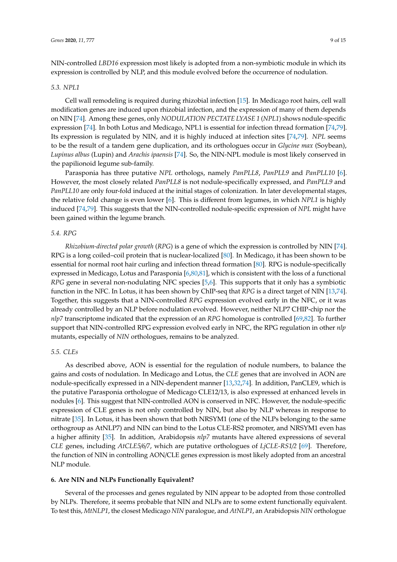NIN-controlled *LBD16* expression most likely is adopted from a non-symbiotic module in which its expression is controlled by NLP, and this module evolved before the occurrence of nodulation.

## *5.3. NPL1*

Cell wall remodeling is required during rhizobial infection [\[15\]](#page-10-10). In Medicago root hairs, cell wall modification genes are induced upon rhizobial infection, and the expression of many of them depends on NIN [\[74\]](#page-13-15). Among these genes, only *NODULATION PECTATE LYASE 1* (*NPL1*) shows nodule-specific expression [\[74\]](#page-13-15). In both Lotus and Medicago, NPL1 is essential for infection thread formation [\[74,](#page-13-15)[79\]](#page-14-2). Its expression is regulated by NIN, and it is highly induced at infection sites [\[74](#page-13-15)[,79\]](#page-14-2). *NPL* seems to be the result of a tandem gene duplication, and its orthologues occur in *Glycine max* (Soybean), *Lupinus albus* (Lupin) and *Arachis ipaensis* [\[74\]](#page-13-15). So, the NIN-NPL module is most likely conserved in the papilionoid legume sub-family.

Parasponia has three putative *NPL* orthologs, namely *PanPLL8*, *PanPLL9* and *PanPLL10* [\[6\]](#page-10-6). However, the most closely related *PanPLL8* is not nodule-specifically expressed, and *PanPLL9* and *PanPLL10* are only four-fold induced at the initial stages of colonization. In later developmental stages, the relative fold change is even lower [\[6\]](#page-10-6). This is different from legumes, in which *NPL1* is highly induced [\[74,](#page-13-15)[79\]](#page-14-2). This suggests that the NIN-controlled nodule-specific expression of *NPL* might have been gained within the legume branch.

#### *5.4. RPG*

*Rhizobium-directed polar growth* (*RPG*) is a gene of which the expression is controlled by NIN [\[74\]](#page-13-15). RPG is a long coiled–coil protein that is nuclear-localized [\[80\]](#page-14-3). In Medicago, it has been shown to be essential for normal root hair curling and infection thread formation [\[80\]](#page-14-3). RPG is nodule-specifically expressed in Medicago, Lotus and Parasponia [\[6](#page-10-6)[,80](#page-14-3)[,81\]](#page-14-4), which is consistent with the loss of a functional *RPG* gene in several non-nodulating NFC species [\[5,](#page-10-4)[6\]](#page-10-6). This supports that it only has a symbiotic function in the NFC. In Lotus, it has been shown by ChIP-seq that *RPG* is a direct target of NIN [\[13](#page-10-8)[,74\]](#page-13-15). Together, this suggests that a NIN-controlled *RPG* expression evolved early in the NFC, or it was already controlled by an NLP before nodulation evolved. However, neither NLP7 CHIP-chip nor the *nlp7* transcriptome indicated that the expression of an *RPG* homologue is controlled [\[69](#page-13-10)[,82\]](#page-14-5). To further support that NIN-controlled RPG expression evolved early in NFC, the RPG regulation in other *nlp* mutants, especially of *NIN* orthologues, remains to be analyzed.

### *5.5. CLEs*

As described above, AON is essential for the regulation of nodule numbers, to balance the gains and costs of nodulation. In Medicago and Lotus, the *CLE* genes that are involved in AON are nodule-specifically expressed in a NIN-dependent manner [\[13,](#page-10-8)[32](#page-11-9)[,74\]](#page-13-15). In addition, PanCLE9, which is the putative Parasponia orthologue of Medicago CLE12/13, is also expressed at enhanced levels in nodules [\[6\]](#page-10-6). This suggest that NIN-controlled AON is conserved in NFC. However, the nodule-specific expression of CLE genes is not only controlled by NIN, but also by NLP whereas in response to nitrate [\[35\]](#page-11-12). In Lotus, it has been shown that both NRSYM1 (one of the NLPs belonging to the same orthogroup as AtNLP7) and NIN can bind to the Lotus CLE-RS2 promoter, and NRSYM1 even has a higher affinity [\[35\]](#page-11-12). In addition, Arabidopsis *nlp7* mutants have altered expressions of several *CLE* genes, including *AtCLE5*/*6*/*7*, which are putative orthologues of *LjCLE-RS1*/*2* [\[69\]](#page-13-10). Therefore, the function of NIN in controlling AON/CLE genes expression is most likely adopted from an ancestral NLP module.

## **6. Are NIN and NLPs Functionally Equivalent?**

Several of the processes and genes regulated by NIN appear to be adopted from those controlled by NLPs. Therefore, it seems probable that NIN and NLPs are to some extent functionally equivalent. To test this, *MtNLP1*, the closest Medicago *NIN* paralogue, and *AtNLP1*, an Arabidopsis *NIN* orthologue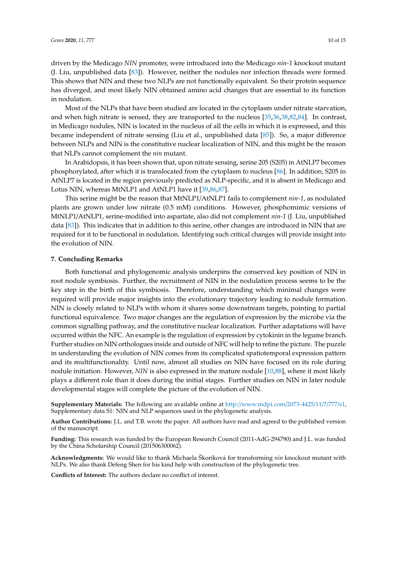driven by the Medicago *NIN* promoter, were introduced into the Medicago *nin-1* knockout mutant (J. Liu, unpublished data [\[83\]](#page-14-6)). However, neither the nodules nor infection threads were formed. This shows that NIN and these two NLPs are not functionally equivalent. So their protein sequence has diverged, and most likely NIN obtained amino acid changes that are essential to its function in nodulation.

Most of the NLPs that have been studied are located in the cytoplasm under nitrate starvation, and when high nitrate is sensed, they are transported to the nucleus [\[35](#page-11-12)[,36](#page-11-13)[,38](#page-11-15)[,82](#page-14-5)[,84\]](#page-14-7). In contrast, in Medicago nodules, NIN is located in the nucleus of all the cells in which it is expressed, and this became independent of nitrate sensing (Liu et al., unpublished data [\[85\]](#page-14-8)). So, a major difference between NLPs and NIN is the constitutive nuclear localization of NIN, and this might be the reason that NLPs cannot complement the *nin* mutant.

In Arabidopsis, it has been shown that, upon nitrate sensing, serine 205 (S205) in AtNLP7 becomes phosphorylated, after which it is translocated from the cytoplasm to nucleus [\[86\]](#page-14-9). In addition, S205 in AtNLP7 is located in the region previously predicted as NLP-specific, and it is absent in Medicago and Lotus NIN, whereas MtNLP1 and AtNLP1 have it [\[39](#page-11-16)[,86](#page-14-9)[,87\]](#page-14-10).

This serine might be the reason that MtNLP1/AtNLP1 fails to complement *nin-1*, as nodulated plants are grown under low nitrate (0.5 mM) conditions. However, phosphomimic versions of MtNLP1/AtNLP1, serine-modified into aspartate, also did not complement *nin-1* (J. Liu, unpublished data [\[83\]](#page-14-6)). This indicates that in addition to this serine, other changes are introduced in NIN that are required for it to be functional in nodulation. Identifying such critical changes will provide insight into the evolution of NIN.

## **7. Concluding Remarks**

Both functional and phylogenomic analysis underpins the conserved key position of NIN in root nodule symbiosis. Further, the recruitment of NIN in the nodulation process seems to be the key step in the birth of this symbiosis. Therefore, understanding which minimal changes were required will provide major insights into the evolutionary trajectory leading to nodule formation. NIN is closely related to NLPs with whom it shares some downstream targets, pointing to partial functional equivalence. Two major changes are the regulation of expression by the microbe via the common signalling pathway, and the constitutive nuclear localization. Further adaptations will have occurred within the NFC. An example is the regulation of expression by cytokinin in the legume branch. Further studies on NIN orthologues inside and outside of NFC will help to refine the picture. The puzzle in understanding the evolution of NIN comes from its complicated spatiotemporal expression pattern and its multifunctionality. Until now, almost all studies on NIN have focused on its role during nodule initiation. However, *NIN* is also expressed in the mature nodule [\[10,](#page-10-13)[88\]](#page-14-11), where it most likely plays a different role than it does during the initial stages. Further studies on NIN in later nodule developmental stages will complete the picture of the evolution of NIN.

**Supplementary Materials:** The following are available online at http://[www.mdpi.com](http://www.mdpi.com/2073-4425/11/7/777/s1)/2073-4425/11/7/777/s1, Supplementary data S1: NIN and NLP sequences used in the phylogenetic analysis.

**Author Contributions:** J.L. and T.B. wrote the paper. All authors have read and agreed to the published version of the manuscript.

**Funding:** This research was funded by the European Research Council (2011-AdG-294790) and J.L. was funded by the China Scholarship Council (201506300062).

**Acknowledgments:** We would like to thank Michaela Škoríková for transforming *nin* knockout mutant with NLPs. We also thank Defeng Shen for his kind help with construction of the phylogenetic tree.

**Conflicts of Interest:** The authors declare no conflict of interest.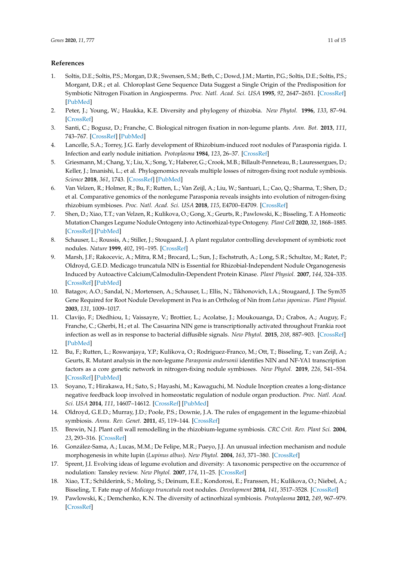# **References**

- <span id="page-10-0"></span>1. Soltis, D.E.; Soltis, P.S.; Morgan, D.R.; Swensen, S.M.; Beth, C.; Dowd, J.M.; Martin, P.G.; Soltis, D.E.; Soltis, P.S.; Morgant, D.R.; et al. Chloroplast Gene Sequence Data Suggest a Single Origin of the Predisposition for Symbiotic Nitrogen Fixation in Angiosperms. *Proc. Natl. Acad. Sci. USA* **1995**, *92*, 2647–2651. [\[CrossRef\]](http://dx.doi.org/10.1073/pnas.92.7.2647) [\[PubMed\]](http://www.ncbi.nlm.nih.gov/pubmed/7708699)
- <span id="page-10-1"></span>2. Peter, J.; Young, W.; Haukka, K.E. Diversity and phylogeny of rhizobia. *New Phytol.* **1996**, *133*, 87–94. [\[CrossRef\]](http://dx.doi.org/10.1111/j.1469-8137.1996.tb04344.x)
- <span id="page-10-2"></span>3. Santi, C.; Bogusz, D.; Franche, C. Biological nitrogen fixation in non-legume plants. *Ann. Bot.* **2013**, *111*, 743–767. [\[CrossRef\]](http://dx.doi.org/10.1093/aob/mct048) [\[PubMed\]](http://www.ncbi.nlm.nih.gov/pubmed/23478942)
- <span id="page-10-3"></span>4. Lancelle, S.A.; Torrey, J.G. Early development of Rhizobium-induced root nodules of Parasponia rigida. I. Infection and early nodule initiation. *Protoplasma* **1984**, *123*, 26–37. [\[CrossRef\]](http://dx.doi.org/10.1007/BF01283179)
- <span id="page-10-4"></span>5. Griesmann, M.; Chang, Y.; Liu, X.; Song, Y.; Haberer, G.; Crook, M.B.; Billault-Penneteau, B.; Lauressergues, D.; Keller, J.; Imanishi, L.; et al. Phylogenomics reveals multiple losses of nitrogen-fixing root nodule symbiosis. *Science* **2018**, *361*, 1743. [\[CrossRef\]](http://dx.doi.org/10.1126/science.aat1743) [\[PubMed\]](http://www.ncbi.nlm.nih.gov/pubmed/29794220)
- <span id="page-10-6"></span>6. Van Velzen, R.; Holmer, R.; Bu, F.; Rutten, L.; Van Zeijl, A.; Liu, W.; Santuari, L.; Cao, Q.; Sharma, T.; Shen, D.; et al. Comparative genomics of the nonlegume Parasponia reveals insights into evolution of nitrogen-fixing rhizobium symbioses. *Proc. Natl. Acad. Sci. USA* **2018**, *115*, E4700–E4709. [\[CrossRef\]](http://dx.doi.org/10.1073/pnas.1721395115)
- <span id="page-10-5"></span>7. Shen, D.; Xiao, T.T.; van Velzen, R.; Kulikova, O.; Gong, X.; Geurts, R.; Pawlowski, K.; Bisseling, T. A Homeotic Mutation Changes Legume Nodule Ontogeny into Actinorhizal-type Ontogeny. *Plant Cell* **2020**, *32*, 1868–1885. [\[CrossRef\]](http://dx.doi.org/10.1105/tpc.19.00739) [\[PubMed\]](http://www.ncbi.nlm.nih.gov/pubmed/32276984)
- <span id="page-10-7"></span>8. Schauser, L.; Roussis, A.; Stiller, J.; Stougaard, J. A plant regulator controlling development of symbiotic root nodules. *Nature* **1999**, *402*, 191–195. [\[CrossRef\]](http://dx.doi.org/10.1038/46058)
- <span id="page-10-17"></span>9. Marsh, J.F.; Rakocevic, A.; Mitra, R.M.; Brocard, L.; Sun, J.; Eschstruth, A.; Long, S.R.; Schultze, M.; Ratet, P.; Oldroyd, G.E.D. Medicago truncatula NIN is Essential for Rhizobial-Independent Nodule Organogenesis Induced by Autoactive Calcium/Calmodulin-Dependent Protein Kinase. *Plant Physiol.* **2007**, *144*, 324–335. [\[CrossRef\]](http://dx.doi.org/10.1104/pp.106.093021) [\[PubMed\]](http://www.ncbi.nlm.nih.gov/pubmed/17369436)
- <span id="page-10-13"></span>10. Batagov, A.O.; Sandal, N.; Mortensen, A.; Schauser, L.; Ellis, N.; Tikhonovich, I.A.; Stougaard, J. The Sym35 Gene Required for Root Nodule Development in Pea is an Ortholog of Nin from *Lotus japonicus*. *Plant Physiol.* **2003**, *131*, 1009–1017.
- <span id="page-10-14"></span>11. Clavijo, F.; Diedhiou, I.; Vaissayre, V.; Brottier, L.; Acolatse, J.; Moukouanga, D.; Crabos, A.; Auguy, F.; Franche, C.; Gherbi, H.; et al. The Casuarina NIN gene is transcriptionally activated throughout Frankia root infection as well as in response to bacterial diffusible signals. *New Phytol.* **2015**, *208*, 887–903. [\[CrossRef\]](http://dx.doi.org/10.1111/nph.13506) [\[PubMed\]](http://www.ncbi.nlm.nih.gov/pubmed/26096779)
- <span id="page-10-18"></span>12. Bu, F.; Rutten, L.; Roswanjaya, Y.P.; Kulikova, O.; Rodriguez-Franco, M.; Ott, T.; Bisseling, T.; van Zeijl, A.; Geurts, R. Mutant analysis in the non-legume *Parasponia andersonii* identifies NIN and NF-YA1 transcription factors as a core genetic network in nitrogen-fixing nodule symbioses. *New Phytol.* **2019**, *226*, 541–554. [\[CrossRef\]](http://dx.doi.org/10.1111/nph.16386) [\[PubMed\]](http://www.ncbi.nlm.nih.gov/pubmed/31863481)
- <span id="page-10-8"></span>13. Soyano, T.; Hirakawa, H.; Sato, S.; Hayashi, M.; Kawaguchi, M. Nodule Inception creates a long-distance negative feedback loop involved in homeostatic regulation of nodule organ production. *Proc. Natl. Acad. Sci. USA* **2014**, *111*, 14607–14612. [\[CrossRef\]](http://dx.doi.org/10.1073/pnas.1412716111) [\[PubMed\]](http://www.ncbi.nlm.nih.gov/pubmed/25246578)
- <span id="page-10-9"></span>14. Oldroyd, G.E.D.; Murray, J.D.; Poole, P.S.; Downie, J.A. The rules of engagement in the legume-rhizobial symbiosis. *Annu. Rev. Genet.* **2011**, *45*, 119–144. [\[CrossRef\]](http://dx.doi.org/10.1146/annurev-genet-110410-132549)
- <span id="page-10-10"></span>15. Brewin, N.J. Plant cell wall remodelling in the rhizobium-legume symbiosis. *CRC Crit. Rev. Plant Sci.* **2004**, *23*, 293–316. [\[CrossRef\]](http://dx.doi.org/10.1080/07352680490480734)
- <span id="page-10-11"></span>16. González-Sama, A.; Lucas, M.M.; De Felipe, M.R.; Pueyo, J.J. An unusual infection mechanism and nodule morphogenesis in white lupin (*Lupinus albus*). *New Phytol.* **2004**, *163*, 371–380. [\[CrossRef\]](http://dx.doi.org/10.1111/j.1469-8137.2004.01121.x)
- <span id="page-10-12"></span>17. Sprent, J.I. Evolving ideas of legume evolution and diversity: A taxonomic perspective on the occurrence of nodulation: Tansley review. *New Phytol.* **2007**, *174*, 11–25. [\[CrossRef\]](http://dx.doi.org/10.1111/j.1469-8137.2007.02015.x)
- <span id="page-10-15"></span>18. Xiao, T.T.; Schilderink, S.; Moling, S.; Deinum, E.E.; Kondorosi, E.; Franssen, H.; Kulikova, O.; Niebel, A.; Bisseling, T. Fate map of *Medicago truncatula* root nodules. *Development* **2014**, *141*, 3517–3528. [\[CrossRef\]](http://dx.doi.org/10.1242/dev.110775)
- <span id="page-10-16"></span>19. Pawlowski, K.; Demchenko, K.N. The diversity of actinorhizal symbiosis. *Protoplasma* **2012**, *249*, 967–979. [\[CrossRef\]](http://dx.doi.org/10.1007/s00709-012-0388-4)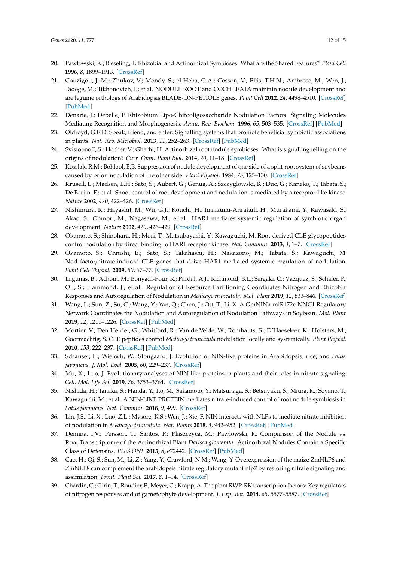- <span id="page-11-0"></span>20. Pawlowski, K.; Bisseling, T. Rhizobial and Actinorhizal Symbioses: What are the Shared Features? *Plant Cell* **1996**, *8*, 1899–1913. [\[CrossRef\]](http://dx.doi.org/10.2307/3870238)
- <span id="page-11-1"></span>21. Couzigou, J.-M.; Zhukov, V.; Mondy, S.; el Heba, G.A.; Cosson, V.; Ellis, T.H.N.; Ambrose, M.; Wen, J.; Tadege, M.; Tikhonovich, I.; et al. NODULE ROOT and COCHLEATA maintain nodule development and are legume orthologs of Arabidopsis BLADE-ON-PETIOLE genes. *Plant Cell* **2012**, *24*, 4498–4510. [\[CrossRef\]](http://dx.doi.org/10.1105/tpc.112.103747) [\[PubMed\]](http://www.ncbi.nlm.nih.gov/pubmed/23136374)
- <span id="page-11-2"></span>22. Denarie, J.; Debelle, F. Rhizobium Lipo-Chitooligosaccharide Nodulation Factors: Signaling Molecules Mediating Recognition and Morphogenesis. *Annu. Rev. Biochem.* **1996**, *65*, 503–535. [\[CrossRef\]](http://dx.doi.org/10.1146/annurev.bi.65.070196.002443) [\[PubMed\]](http://www.ncbi.nlm.nih.gov/pubmed/8811188)
- <span id="page-11-3"></span>23. Oldroyd, G.E.D. Speak, friend, and enter: Signalling systems that promote beneficial symbiotic associations in plants. *Nat. Rev. Microbiol.* **2013**, *11*, 252–263. [\[CrossRef\]](http://dx.doi.org/10.1038/nrmicro2990) [\[PubMed\]](http://www.ncbi.nlm.nih.gov/pubmed/23493145)
- <span id="page-11-4"></span>24. Svistoonoff, S.; Hocher, V.; Gherbi, H. Actinorhizal root nodule symbioses: What is signalling telling on the origins of nodulation? *Curr. Opin. Plant Biol.* **2014**, *20*, 11–18. [\[CrossRef\]](http://dx.doi.org/10.1016/j.pbi.2014.03.001)
- <span id="page-11-5"></span>25. Kosslak, R.M.; Bohlool, B.B. Suppression of nodule development of one side of a split-root system of soybeans caused by prior inoculation of the other side. *Plant Physiol.* **1984**, *75*, 125–130. [\[CrossRef\]](http://dx.doi.org/10.1104/pp.75.1.125)
- 26. Krusell, L.; Madsen, L.H.; Sato, S.; Aubert, G.; Genua, A.; Szczyglowski, K.; Duc, G.; Kaneko, T.; Tabata, S.; De Bruijn, F.; et al. Shoot control of root development and nodulation is mediated by a receptor-like kinase. *Nature* **2002**, *420*, 422–426. [\[CrossRef\]](http://dx.doi.org/10.1038/nature01207)
- 27. Nishimura, R.; Hayashit, M.; Wu, G.J.; Kouchi, H.; Imaizumi-Anrakull, H.; Murakami, Y.; Kawasaki, S.; Akao, S.; Ohmori, M.; Nagasawa, M.; et al. HAR1 mediates systemic regulation of symbiotic organ development. *Nature* **2002**, *420*, 426–429. [\[CrossRef\]](http://dx.doi.org/10.1038/nature01231)
- <span id="page-11-7"></span>28. Okamoto, S.; Shinohara, H.; Mori, T.; Matsubayashi, Y.; Kawaguchi, M. Root-derived CLE glycopeptides control nodulation by direct binding to HAR1 receptor kinase. *Nat. Commun.* **2013**, *4*, 1–7. [\[CrossRef\]](http://dx.doi.org/10.1038/ncomms3191)
- <span id="page-11-8"></span>29. Okamoto, S.; Ohnishi, E.; Sato, S.; Takahashi, H.; Nakazono, M.; Tabata, S.; Kawaguchi, M. Nod factor/nitrate-induced CLE genes that drive HAR1-mediated systemic regulation of nodulation. *Plant Cell Physiol.* **2009**, *50*, 67–77. [\[CrossRef\]](http://dx.doi.org/10.1093/pcp/pcn194)
- 30. Lagunas, B.; Achom, M.; Bonyadi-Pour, R.; Pardal, A.J.; Richmond, B.L.; Sergaki, C.; Vázquez, S.; Schäfer, P.; Ott, S.; Hammond, J.; et al. Regulation of Resource Partitioning Coordinates Nitrogen and Rhizobia Responses and Autoregulation of Nodulation in *Medicago truncatula*. *Mol. Plant* **2019**, *12*, 833–846. [\[CrossRef\]](http://dx.doi.org/10.1016/j.molp.2019.03.014)
- <span id="page-11-6"></span>31. Wang, L.; Sun, Z.; Su, C.; Wang, Y.; Yan, Q.; Chen, J.; Ott, T.; Li, X. A GmNINa-miR172c-NNC1 Regulatory Network Coordinates the Nodulation and Autoregulation of Nodulation Pathways in Soybean. *Mol. Plant* **2019**, *12*, 1211–1226. [\[CrossRef\]](http://dx.doi.org/10.1016/j.molp.2019.06.002) [\[PubMed\]](http://www.ncbi.nlm.nih.gov/pubmed/31201867)
- <span id="page-11-9"></span>32. Mortier, V.; Den Herder, G.; Whitford, R.; Van de Velde, W.; Rombauts, S.; D'Haeseleer, K.; Holsters, M.; Goormachtig, S. CLE peptides control *Medicago truncatula* nodulation locally and systemically. *Plant Physiol.* **2010**, *153*, 222–237. [\[CrossRef\]](http://dx.doi.org/10.1104/pp.110.153718) [\[PubMed\]](http://www.ncbi.nlm.nih.gov/pubmed/20348212)
- <span id="page-11-10"></span>33. Schauser, L.; Wieloch, W.; Stougaard, J. Evolution of NIN-like proteins in Arabidopsis, rice, and *Lotus japonicus*. *J. Mol. Evol.* **2005**, *60*, 229–237. [\[CrossRef\]](http://dx.doi.org/10.1007/s00239-004-0144-2)
- <span id="page-11-11"></span>34. Mu, X.; Luo, J. Evolutionary analyses of NIN-like proteins in plants and their roles in nitrate signaling. *Cell. Mol. Life Sci.* **2019**, *76*, 3753–3764. [\[CrossRef\]](http://dx.doi.org/10.1007/s00018-019-03164-8)
- <span id="page-11-12"></span>35. Nishida, H.; Tanaka, S.; Handa, Y.; Ito, M.; Sakamoto, Y.; Matsunaga, S.; Betsuyaku, S.; Miura, K.; Soyano, T.; Kawaguchi, M.; et al. A NIN-LIKE PROTEIN mediates nitrate-induced control of root nodule symbiosis in *Lotus japonicus*. *Nat. Commun.* **2018**, *9*, 499. [\[CrossRef\]](http://dx.doi.org/10.1038/s41467-018-02831-x)
- <span id="page-11-13"></span>36. Lin, J.S.; Li, X.; Luo, Z.L.; Mysore, K.S.; Wen, J.; Xie, F. NIN interacts with NLPs to mediate nitrate inhibition of nodulation in *Medicago truncatula*. *Nat. Plants* **2018**, *4*, 942–952. [\[CrossRef\]](http://dx.doi.org/10.1038/s41477-018-0261-3) [\[PubMed\]](http://www.ncbi.nlm.nih.gov/pubmed/30297831)
- <span id="page-11-14"></span>37. Demina, I.V.; Persson, T.; Santos, P.; Plaszczyca, M.; Pawlowski, K. Comparison of the Nodule vs. Root Transcriptome of the Actinorhizal Plant *Datisca glomerata*: Actinorhizal Nodules Contain a Specific Class of Defensins. *PLoS ONE* **2013**, *8*, e72442. [\[CrossRef\]](http://dx.doi.org/10.1371/journal.pone.0072442) [\[PubMed\]](http://www.ncbi.nlm.nih.gov/pubmed/24009681)
- <span id="page-11-15"></span>38. Cao, H.; Qi, S.; Sun, M.; Li, Z.; Yang, Y.; Crawford, N.M.; Wang, Y. Overexpression of the maize ZmNLP6 and ZmNLP8 can complement the arabidopsis nitrate regulatory mutant nlp7 by restoring nitrate signaling and assimilation. *Front. Plant Sci.* **2017**, *8*, 1–14. [\[CrossRef\]](http://dx.doi.org/10.3389/fpls.2017.01703)
- <span id="page-11-16"></span>39. Chardin, C.; Girin, T.; Roudier, F.; Meyer, C.; Krapp, A. The plant RWP-RK transcription factors: Key regulators of nitrogen responses and of gametophyte development. *J. Exp. Bot.* **2014**, *65*, 5577–5587. [\[CrossRef\]](http://dx.doi.org/10.1093/jxb/eru261)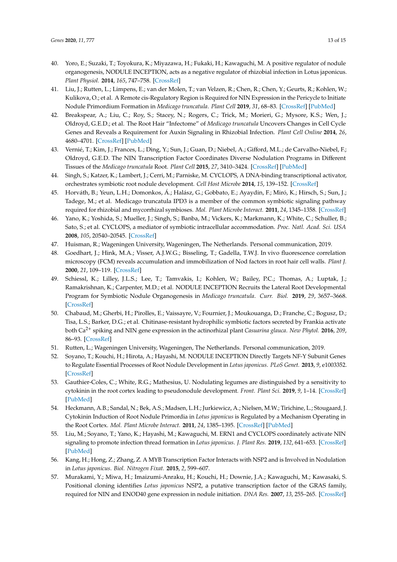- <span id="page-12-0"></span>40. Yoro, E.; Suzaki, T.; Toyokura, K.; Miyazawa, H.; Fukaki, H.; Kawaguchi, M. A positive regulator of nodule organogenesis, NODULE INCEPTION, acts as a negative regulator of rhizobial infection in Lotus japonicus. *Plant Physiol.* **2014**, *165*, 747–758. [\[CrossRef\]](http://dx.doi.org/10.1104/pp.113.233379)
- <span id="page-12-3"></span>41. Liu, J.; Rutten, L.; Limpens, E.; van der Molen, T.; van Velzen, R.; Chen, R.; Chen, Y.; Geurts, R.; Kohlen, W.; Kulikova, O.; et al. A Remote cis-Regulatory Region is Required for NIN Expression in the Pericycle to Initiate Nodule Primordium Formation in *Medicago truncatula*. *Plant Cell* **2019**, *31*, 68–83. [\[CrossRef\]](http://dx.doi.org/10.1105/tpc.18.00478) [\[PubMed\]](http://www.ncbi.nlm.nih.gov/pubmed/30610167)
- <span id="page-12-15"></span>42. Breakspear, A.; Liu, C.; Roy, S.; Stacey, N.; Rogers, C.; Trick, M.; Morieri, G.; Mysore, K.S.; Wen, J.; Oldroyd, G.E.D.; et al. The Root Hair "Infectome" of *Medicago truncatula* Uncovers Changes in Cell Cycle Genes and Reveals a Requirement for Auxin Signaling in Rhizobial Infection. *Plant Cell Online* **2014**, *26*, 4680–4701. [\[CrossRef\]](http://dx.doi.org/10.1105/tpc.114.133496) [\[PubMed\]](http://www.ncbi.nlm.nih.gov/pubmed/25527707)
- <span id="page-12-1"></span>43. Vernié, T.; Kim, J.; Frances, L.; Ding, Y.; Sun, J.; Guan, D.; Niebel, A.; Gifford, M.L.; de Carvalho-Niebel, F.; Oldroyd, G.E.D. The NIN Transcription Factor Coordinates Diverse Nodulation Programs in Different Tissues of the *Medicago truncatula* Root. *Plant Cell* **2015**, *27*, 3410–3424. [\[CrossRef\]](http://dx.doi.org/10.1105/tpc.15.00461) [\[PubMed\]](http://www.ncbi.nlm.nih.gov/pubmed/26672071)
- <span id="page-12-2"></span>44. Singh, S.; Katzer, K.; Lambert, J.; Cerri, M.; Parniske, M. CYCLOPS, A DNA-binding transcriptional activator, orchestrates symbiotic root nodule development. *Cell Host Microbe* **2014**, *15*, 139–152. [\[CrossRef\]](http://dx.doi.org/10.1016/j.chom.2014.01.011)
- <span id="page-12-4"></span>45. Horváth, B.; Yeun, L.H.; Domonkos, Á.; Halász, G.; Gobbato, E.; Ayaydin, F.; Miró, K.; Hirsch, S.; Sun, J.; Tadege, M.; et al. Medicago truncatula IPD3 is a member of the common symbiotic signaling pathway required for rhizobial and mycorrhizal symbioses. *Mol. Plant Microbe Interact.* **2011**, *24*, 1345–1358. [\[CrossRef\]](http://dx.doi.org/10.1094/MPMI-01-11-0015)
- <span id="page-12-5"></span>46. Yano, K.; Yoshida, S.; Mueller, J.; Singh, S.; Banba, M.; Vickers, K.; Markmann, K.; White, C.; Schuller, B.; Sato, S.; et al. CYCLOPS, a mediator of symbiotic intracellular accommodation. *Proc. Natl. Acad. Sci. USA* **2008**, *105*, 20540–20545. [\[CrossRef\]](http://dx.doi.org/10.1073/pnas.0806858105)
- <span id="page-12-6"></span>47. Huisman, R.; Wageningen University, Wageningen, The Netherlands. Personal communication, 2019.
- <span id="page-12-7"></span>48. Goedhart, J.; Hink, M.A.; Visser, A.J.W.G.; Bisseling, T.; Gadella, T.W.J. In vivo fluorescence correlation microscopy (FCM) reveals accumulation and immobilization of Nod factors in root hair cell walls. *Plant J.* **2000**, *21*, 109–119. [\[CrossRef\]](http://dx.doi.org/10.1046/j.1365-313x.2000.00656.x)
- <span id="page-12-8"></span>49. Schiessl, K.; Lilley, J.L.S.; Lee, T.; Tamvakis, I.; Kohlen, W.; Bailey, P.C.; Thomas, A.; Luptak, J.; Ramakrishnan, K.; Carpenter, M.D.; et al. NODULE INCEPTION Recruits the Lateral Root Developmental Program for Symbiotic Nodule Organogenesis in *Medicago truncatula*. *Curr. Biol.* **2019**, *29*, 3657–3668. [\[CrossRef\]](http://dx.doi.org/10.1016/j.cub.2019.09.005)
- <span id="page-12-9"></span>50. Chabaud, M.; Gherbi, H.; Pirolles, E.; Vaissayre, V.; Fournier, J.; Moukouanga, D.; Franche, C.; Bogusz, D.; Tisa, L.S.; Barker, D.G.; et al. Chitinase-resistant hydrophilic symbiotic factors secreted by Frankia activate both Ca2<sup>+</sup> spiking and NIN gene expression in the actinorhizal plant *Casuarina glauca*. *New Phytol.* **2016**, *209*, 86–93. [\[CrossRef\]](http://dx.doi.org/10.1111/nph.13732)
- <span id="page-12-10"></span>51. Rutten, L.; Wageningen University, Wageningen, The Netherlands. Personal communication, 2019.
- <span id="page-12-11"></span>52. Soyano, T.; Kouchi, H.; Hirota, A.; Hayashi, M. NODULE INCEPTION Directly Targets NF-Y Subunit Genes to Regulate Essential Processes of Root Nodule Development in *Lotus japonicus*. *PLoS Genet.* **2013**, *9*, e1003352. [\[CrossRef\]](http://dx.doi.org/10.1371/journal.pgen.1003352)
- <span id="page-12-12"></span>53. Gauthier-Coles, C.; White, R.G.; Mathesius, U. Nodulating legumes are distinguished by a sensitivity to cytokinin in the root cortex leading to pseudonodule development. *Front. Plant Sci.* **2019**, *9*, 1–14. [\[CrossRef\]](http://dx.doi.org/10.3389/fpls.2018.01901) [\[PubMed\]](http://www.ncbi.nlm.nih.gov/pubmed/30671068)
- <span id="page-12-13"></span>54. Heckmann, A.B.; Sandal, N.; Bek, A.S.; Madsen, L.H.; Jurkiewicz, A.; Nielsen, M.W.; Tirichine, L.; Stougaard, J. Cytokinin Induction of Root Nodule Primordia in *Lotus japonicus* is Regulated by a Mechanism Operating in the Root Cortex. *Mol. Plant Microbe Interact.* **2011**, *24*, 1385–1395. [\[CrossRef\]](http://dx.doi.org/10.1094/MPMI-05-11-0142) [\[PubMed\]](http://www.ncbi.nlm.nih.gov/pubmed/21770769)
- <span id="page-12-14"></span>55. Liu, M.; Soyano, T.; Yano, K.; Hayashi, M.; Kawaguchi, M. ERN1 and CYCLOPS coordinately activate NIN signaling to promote infection thread formation in *Lotus japonicus*. *J. Plant Res.* **2019**, *132*, 641–653. [\[CrossRef\]](http://dx.doi.org/10.1007/s10265-019-01122-w) [\[PubMed\]](http://www.ncbi.nlm.nih.gov/pubmed/31313020)
- 56. Kang, H.; Hong, Z.; Zhang, Z. A MYB Transcription Factor Interacts with NSP2 and is Involved in Nodulation in *Lotus japonicus*. *Biol. Nitrogen Fixat.* **2015**, *2*, 599–607.
- 57. Murakami, Y.; Miwa, H.; Imaizumi-Anraku, H.; Kouchi, H.; Downie, J.A.; Kawaguchi, M.; Kawasaki, S. Positional cloning identifies *Lotus japonicus* NSP2, a putative transcription factor of the GRAS family, required for NIN and ENOD40 gene expression in nodule initiation. *DNA Res.* **2007**, *13*, 255–265. [\[CrossRef\]](http://dx.doi.org/10.1093/dnares/dsl017)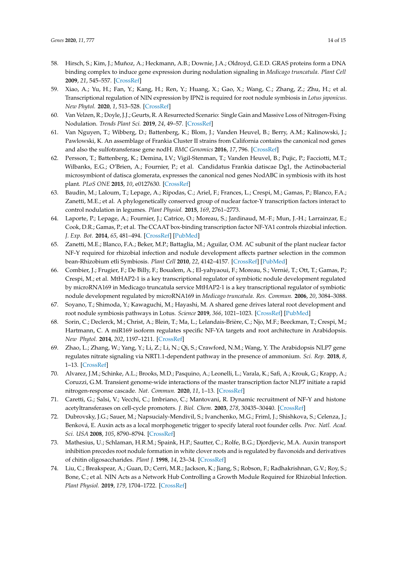- 58. Hirsch, S.; Kim, J.; Muñoz, A.; Heckmann, A.B.; Downie, J.A.; Oldroyd, G.E.D. GRAS proteins form a DNA binding complex to induce gene expression during nodulation signaling in *Medicago truncatula*. *Plant Cell* **2009**, *21*, 545–557. [\[CrossRef\]](http://dx.doi.org/10.1105/tpc.108.064501)
- <span id="page-13-0"></span>59. Xiao, A.; Yu, H.; Fan, Y.; Kang, H.; Ren, Y.; Huang, X.; Gao, X.; Wang, C.; Zhang, Z.; Zhu, H.; et al. Transcriptional regulation of NIN expression by IPN2 is required for root nodule symbiosis in *Lotus japonicus*. *New Phytol.* **2020**, *1*, 513–528. [\[CrossRef\]](http://dx.doi.org/10.1111/nph.16553)
- <span id="page-13-1"></span>60. Van Velzen, R.; Doyle, J.J.; Geurts, R. A Resurrected Scenario: Single Gain and Massive Loss of Nitrogen-Fixing Nodulation. *Trends Plant Sci.* **2019**, *24*, 49–57. [\[CrossRef\]](http://dx.doi.org/10.1016/j.tplants.2018.10.005)
- <span id="page-13-2"></span>61. Van Nguyen, T.; Wibberg, D.; Battenberg, K.; Blom, J.; Vanden Heuvel, B.; Berry, A.M.; Kalinowski, J.; Pawlowski, K. An assemblage of Frankia Cluster II strains from California contains the canonical nod genes and also the sulfotransferase gene nodH. *BMC Genomics* **2016**, *17*, 796. [\[CrossRef\]](http://dx.doi.org/10.1186/s12864-016-3140-1)
- <span id="page-13-3"></span>62. Persson, T.; Battenberg, K.; Demina, I.V.; Vigil-Stenman, T.; Vanden Heuvel, B.; Pujic, P.; Facciotti, M.T.; Wilbanks, E.G.; O'Brien, A.; Fournier, P.; et al. Candidatus Frankia datiscae Dg1, the Actinobacterial microsymbiont of datisca glomerata, expresses the canonical nod genes NodABC in symbiosis with its host plant. *PLoS ONE* **2015**, *10*, e0127630. [\[CrossRef\]](http://dx.doi.org/10.1371/journal.pone.0127630)
- <span id="page-13-4"></span>63. Baudin, M.; Laloum, T.; Lepage, A.; Rípodas, C.; Ariel, F.; Frances, L.; Crespi, M.; Gamas, P.; Blanco, F.A.; Zanetti, M.E.; et al. A phylogenetically conserved group of nuclear factor-Y transcription factors interact to control nodulation in legumes. *Plant Physiol.* **2015**, *169*, 2761–2773.
- <span id="page-13-5"></span>64. Laporte, P.; Lepage, A.; Fournier, J.; Catrice, O.; Moreau, S.; Jardinaud, M.-F.; Mun, J.-H.; Larrainzar, E.; Cook, D.R.; Gamas, P.; et al. The CCAAT box-binding transcription factor NF-YA1 controls rhizobial infection. *J. Exp. Bot.* **2014**, *65*, 481–494. [\[CrossRef\]](http://dx.doi.org/10.1093/jxb/ert392) [\[PubMed\]](http://www.ncbi.nlm.nih.gov/pubmed/24319255)
- <span id="page-13-6"></span>65. Zanetti, M.E.; Blanco, F.A.; Beker, M.P.; Battaglia, M.; Aguilar, O.M. AC subunit of the plant nuclear factor NF-Y required for rhizobial infection and nodule development affects partner selection in the common bean-Rhizobium etli Symbiosis. *Plant Cell* **2010**, *22*, 4142–4157. [\[CrossRef\]](http://dx.doi.org/10.1105/tpc.110.079137) [\[PubMed\]](http://www.ncbi.nlm.nih.gov/pubmed/21139064)
- <span id="page-13-7"></span>66. Combier, J.; Frugier, F.; De Billy, F.; Boualem, A.; El-yahyaoui, F.; Moreau, S.; Vernié, T.; Ott, T.; Gamas, P.; Crespi, M.; et al. MtHAP2-1 is a key transcriptional regulator of symbiotic nodule development regulated by microRNA169 in Medicago truncatula service MtHAP2-1 is a key transcriptional regulator of symbiotic nodule development regulated by microRNA169 in *Medicago truncatula*. *Res. Commun.* **2006**, *20*, 3084–3088.
- <span id="page-13-8"></span>67. Soyano, T.; Shimoda, Y.; Kawaguchi, M.; Hayashi, M. A shared gene drives lateral root development and root nodule symbiosis pathways in Lotus. *Science* **2019**, *366*, 1021–1023. [\[CrossRef\]](http://dx.doi.org/10.1126/science.aax2153) [\[PubMed\]](http://www.ncbi.nlm.nih.gov/pubmed/31754003)
- <span id="page-13-9"></span>68. Sorin, C.; Declerck, M.; Christ, A.; Blein, T.; Ma, L.; Lelandais-Brière, C.; Njo, M.F.; Beeckman, T.; Crespi, M.; Hartmann, C. A miR169 isoform regulates specific NF-YA targets and root architecture in Arabidopsis. *New Phytol.* **2014**, *202*, 1197–1211. [\[CrossRef\]](http://dx.doi.org/10.1111/nph.12735)
- <span id="page-13-10"></span>69. Zhao, L.; Zhang, W.; Yang, Y.; Li, Z.; Li, N.; Qi, S.; Crawford, N.M.; Wang, Y. The Arabidopsis NLP7 gene regulates nitrate signaling via NRT1.1-dependent pathway in the presence of ammonium. *Sci. Rep.* **2018**, *8*, 1–13. [\[CrossRef\]](http://dx.doi.org/10.1038/s41598-018-20038-4)
- <span id="page-13-11"></span>70. Alvarez, J.M.; Schinke, A.L.; Brooks, M.D.; Pasquino, A.; Leonelli, L.; Varala, K.; Safi, A.; Krouk, G.; Krapp, A.; Coruzzi, G.M. Transient genome-wide interactions of the master transcription factor NLP7 initiate a rapid nitrogen-response cascade. *Nat. Commun.* **2020**, *11*, 1–13. [\[CrossRef\]](http://dx.doi.org/10.1038/s41467-020-14979-6)
- <span id="page-13-12"></span>71. Caretti, G.; Salsi, V.; Vecchi, C.; Imbriano, C.; Mantovani, R. Dynamic recruitment of NF-Y and histone acetyltransferases on cell-cycle promoters. *J. Biol. Chem.* **2003**, *278*, 30435–30440. [\[CrossRef\]](http://dx.doi.org/10.1074/jbc.M304606200)
- <span id="page-13-13"></span>72. Dubrovsky, J.G.; Sauer, M.; Napsucialy-Mendivil, S.; Ivanchenko, M.G.; Friml, J.; Shishkova, S.; Celenza, J.; Benková, E. Auxin acts as a local morphogenetic trigger to specify lateral root founder cells. *Proc. Natl. Acad. Sci. USA* **2008**, *105*, 8790–8794. [\[CrossRef\]](http://dx.doi.org/10.1073/pnas.0712307105)
- <span id="page-13-14"></span>73. Mathesius, U.; Schlaman, H.R.M.; Spaink, H.P.; Sautter, C.; Rolfe, B.G.; Djordjevic, M.A. Auxin transport inhibition precedes root nodule formation in white clover roots and is regulated by flavonoids and derivatives of chitin oligosaccharides. *Plant J.* **1998**, *14*, 23–34. [\[CrossRef\]](http://dx.doi.org/10.1046/j.1365-313X.1998.00090.x)
- <span id="page-13-15"></span>74. Liu, C.; Breakspear, A.; Guan, D.; Cerri, M.R.; Jackson, K.; Jiang, S.; Robson, F.; Radhakrishnan, G.V.; Roy, S.; Bone, C.; et al. NIN Acts as a Network Hub Controlling a Growth Module Required for Rhizobial Infection. *Plant Physiol.* **2019**, *179*, 1704–1722. [\[CrossRef\]](http://dx.doi.org/10.1104/pp.18.01572)